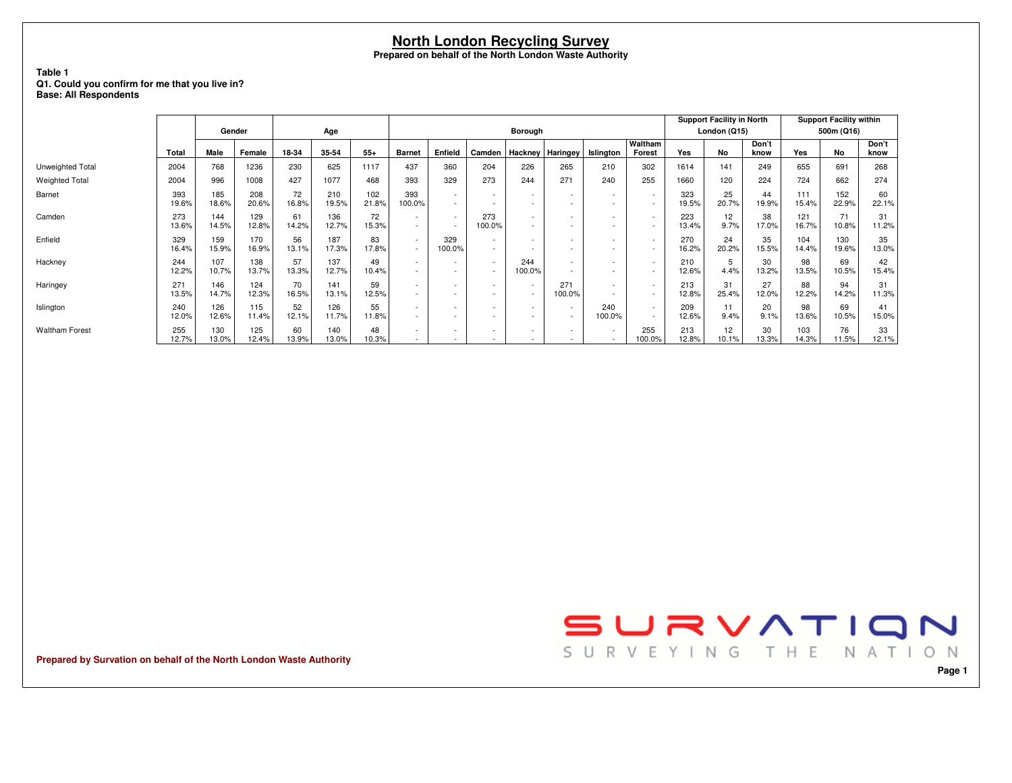#### **Table 1 Q1. Could you confirm for me that you live in?Base: All Respondents**

|                       |              |              |              |             |              |              |                          |                                                      |                                                      |                                    |                                                      |                  |                                                      |              | <b>Support Facility in North</b> |               |              | <b>Support Facility within</b> |               |
|-----------------------|--------------|--------------|--------------|-------------|--------------|--------------|--------------------------|------------------------------------------------------|------------------------------------------------------|------------------------------------|------------------------------------------------------|------------------|------------------------------------------------------|--------------|----------------------------------|---------------|--------------|--------------------------------|---------------|
|                       |              | Gender       |              |             | Age          |              |                          |                                                      |                                                      | <b>Borough</b>                     |                                                      |                  |                                                      |              | London (Q15)                     |               |              | 500m (Q16)                     |               |
|                       | Total        | Male         | Female       | 18-34       | 35-54        | $55+$        | <b>Barnet</b>            | Enfield                                              | Camden                                               | Hackney   Haringey                 |                                                      | <b>Islinaton</b> | Waltham<br>Forest                                    | Yes          | No                               | Don't<br>know | Yes          | <b>No</b>                      | Don't<br>know |
| Unweighted Total      | 2004         | 768          | 1236         | 230         | 625          | 1117         | 437                      | 360                                                  | 204                                                  | 226                                | 265                                                  | 210              | 302                                                  | 1614         | 141                              | 249           | 655          | 691                            | 268           |
| <b>Weighted Total</b> | 2004         | 996          | 1008         | 427         | 1077         | 468          | 393                      | 329                                                  | 273                                                  | 244                                | 271                                                  | 240              | 255                                                  | 1660         | 120                              | 224           | 724          | 662                            | 274           |
| Barnet                | 393<br>19.6% | 185<br>18.6% | 208<br>20.6% | 72<br>16.8% | 210<br>19.5% | 102<br>21.8% | 393<br>100.0%            | $\sim$<br>$\sim$                                     | $\sim$<br>$\overline{\phantom{a}}$                   | $\overline{\phantom{a}}$           | $\overline{\phantom{a}}$<br>$\overline{\phantom{a}}$ | $\sim$           | $\overline{\phantom{a}}$<br>$\overline{\phantom{a}}$ | 323<br>19.5% | 25<br>20.7%                      | 44<br>19.9%   | 111<br>15.4% | 152<br>22.9%                   | 60<br>22.1%   |
| Camden                | 273<br>13.6% | 144<br>14.5% | 129<br>12.8% | 61<br>14.2% | 136<br>12.7% | 72<br>15.3%  | $\sim$                   | $\sim$<br>$\overline{\phantom{a}}$                   | 273<br>100.0%                                        | $\overline{\phantom{a}}$<br>$\sim$ | $\overline{\phantom{a}}$<br>۰                        |                  | $\overline{\phantom{a}}$<br>$\overline{\phantom{a}}$ | 223<br>13.4% | 12 <sup>2</sup><br>9.7%          | 38<br>17.0%   | 121<br>16.7% | 71<br>10.8%                    | 31<br>11.2%   |
| Enfield               | 329<br>16.4% | 159<br>15.9% | 170<br>16.9% | 56<br>13.1% | 187<br>17.3% | 83<br>17.8%  | $\sim$                   | 329<br>100.0%                                        | $\overline{\phantom{a}}$<br>$\sim$                   |                                    | $\overline{\phantom{a}}$<br>$\overline{\phantom{a}}$ |                  | $\overline{\phantom{a}}$<br>$\overline{\phantom{a}}$ | 270<br>16.2% | 24<br>20.2%                      | 35<br>15.5%   | 104<br>14.4% | 130<br>19.6%                   | 35<br>13.0%   |
| Hackney               | 244<br>12.2% | 107<br>10.7% | 138<br>13.7% | 57<br>13.3% | 137<br>12.7% | 49<br>10.4%  | $\sim$<br>$\sim$         | $\overline{\phantom{a}}$<br>$\overline{\phantom{a}}$ | $\overline{\phantom{a}}$<br>$\overline{\phantom{a}}$ | 244<br>100.0%                      | $\sim$<br>$\overline{\phantom{a}}$                   |                  | $\overline{\phantom{a}}$<br>$\overline{\phantom{a}}$ | 210<br>12.6% | 5<br>4.4%                        | 30<br>13.2%   | 98<br>13.5%  | 69<br>10.5%                    | 42<br>15.4%   |
| Haringey              | 271<br>13.5% | 146<br>14.7% | 124<br>12.3% | 70<br>16.5% | 141<br>13.1% | 59<br>12.5%  |                          | $\overline{\phantom{a}}$<br>٠                        | $\overline{\phantom{a}}$<br>$\overline{\phantom{a}}$ |                                    | 271<br>100.0%                                        |                  | $\overline{\phantom{a}}$<br>$\overline{\phantom{a}}$ | 213<br>12.8% | 31<br>25.4%                      | 27<br>12.0%   | 88<br>12.2%  | 94<br>14.2%                    | 31<br>11.3%   |
| Islington             | 240<br>12.0% | 126<br>12.6% | 115<br>11.4% | 52<br>12.1% | 126<br>11.7% | 55<br>11.8%  | $\sim$<br>$\sim$         | $\overline{\phantom{a}}$<br>$\overline{\phantom{0}}$ | $\overline{\phantom{a}}$                             | $\sim$<br>$\sim$                   | $\overline{\phantom{a}}$<br>$\overline{\phantom{a}}$ | 240<br>100.0%    | $\overline{\phantom{a}}$<br>$\overline{\phantom{a}}$ | 209<br>12.6% | 11<br>9.4%                       | 20<br>9.1%    | 98<br>13.6%  | 69<br>10.5%                    | 41<br>15.0%   |
| <b>Waltham Forest</b> | 255<br>12.7% | 130<br>13.0% | 125<br>12.4% | 60<br>13.9% | 140<br>13.0% | 48<br>10.3%  | $\overline{\phantom{a}}$ | $\overline{\phantom{a}}$                             | $\overline{\phantom{a}}$                             | $\sim$                             | $\overline{\phantom{a}}$                             |                  | 255<br>100.0%                                        | 213<br>12.8% | 12 <sup>2</sup><br>10.1%         | 30<br>13.3%   | 103<br>14.3% | 76<br>11.5%                    | 33<br>12.1%   |

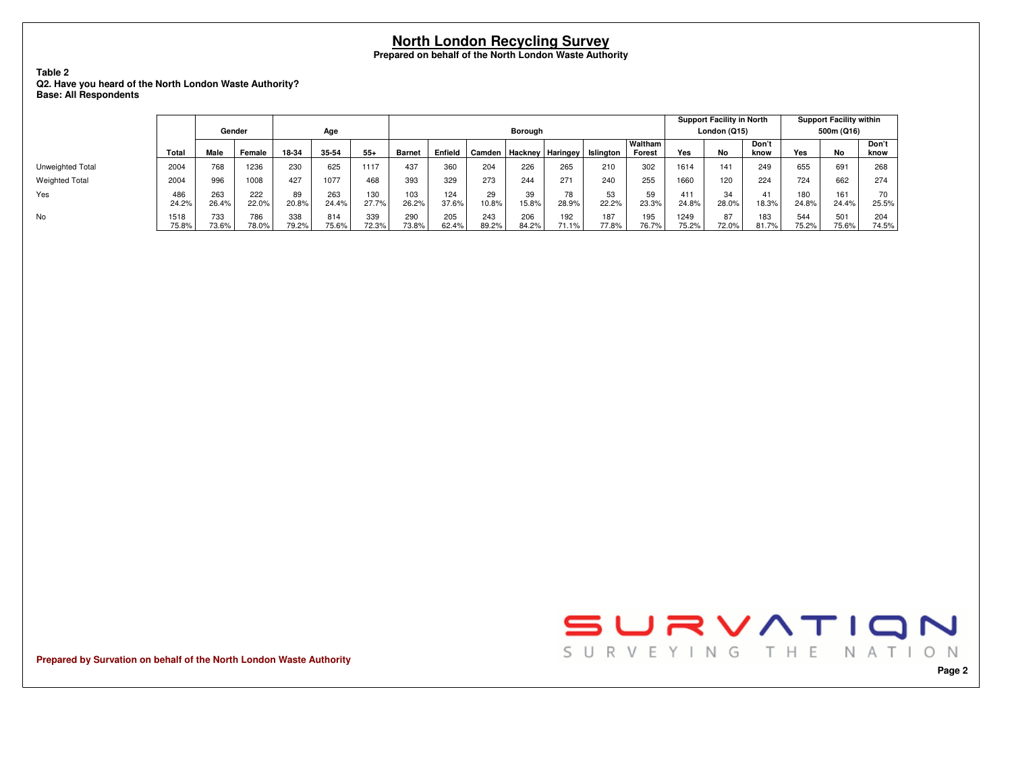#### **Table 2 Q2. Have you heard of the North London Waste Authority?Base: All Respondents**

|                       |               |              |              |              |              |              |               |              |              |                |                    |              |                   |               | <b>Support Facility in North</b> |               |              | <b>Support Facility within</b> |               |
|-----------------------|---------------|--------------|--------------|--------------|--------------|--------------|---------------|--------------|--------------|----------------|--------------------|--------------|-------------------|---------------|----------------------------------|---------------|--------------|--------------------------------|---------------|
|                       |               | Gender       |              |              | Age          |              |               |              |              | <b>Borough</b> |                    |              |                   |               | London (Q15)                     |               |              | 500m (Q16)                     |               |
|                       | <b>Total</b>  | Male         | Female       | 18-34        | 35-54        | $55+$        | <b>Barnet</b> | Enfield      | Camden       |                | Hackney   Haringey | Islington    | Waltham<br>Forest | Yes           | No                               | Don't<br>know | Yes          | <b>No</b>                      | Don't<br>know |
| Unweighted Total      | 2004          | 768          | 1236         | 230          | 625          | 1117         | 437           | 360          | 204          | 226            | 265                | 210          | 302               | 1614          | 141                              | 249           | 655          | 691                            | 268           |
| <b>Weighted Total</b> | 2004          | 996          | 1008         | 427          | 1077         | 468          | 393           | 329          | 273          | 244            | 271                | 240          | 255               | 1660          | 120                              | 224           | 724          | 662                            | 274           |
| Yes                   | 486<br>24.2%  | 263<br>26.4% | 222<br>22.0% | 89<br>20.8%  | 263<br>24.4% | 130<br>27.7% | 103<br>26.2%  | 124<br>37.6% | 29<br>10.8%  | 39<br>15.8%    | 78<br>28.9%        | 53<br>22.2%  | 23.3%             | 411<br>24.8%  | 34<br>28.0%                      | 41<br>18.3%   | 180<br>24.8% | 161<br>24.4%                   | 70<br>25.5%   |
| No                    | 1518<br>75.8% | 733<br>73.6% | 786<br>78.0% | 338<br>79.2% | 814<br>75.6% | 339<br>72.3% | 290<br>73.8%  | 205<br>62.4% | 243<br>89.2% | 206<br>84.2%   | 192<br>71.1%       | 187<br>77.8% | 195<br>76.7%      | 1249<br>75.2% | 87<br>72.0%                      | 183<br>81.7%  | 544<br>75.2% | 501<br>75.6%                   | 204<br>74.5%  |

YesNo



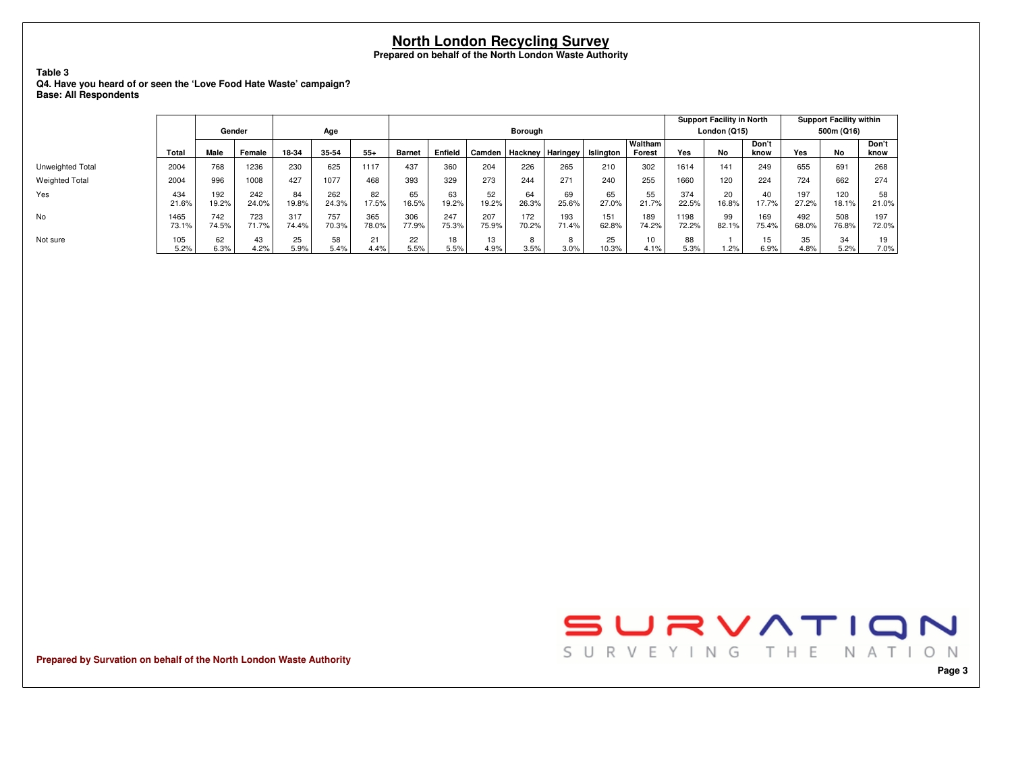### **Table 3 Q4. Have you heard of or seen the 'Love Food Hate Waste' campaign?Base: All Respondents**

|                       |               |              |              |              |              |              |               |              |              |              |                         |              |                         |               | <b>Support Facility in North</b> |               |              | <b>Support Facility within</b> |               |
|-----------------------|---------------|--------------|--------------|--------------|--------------|--------------|---------------|--------------|--------------|--------------|-------------------------|--------------|-------------------------|---------------|----------------------------------|---------------|--------------|--------------------------------|---------------|
|                       |               | Gender       |              |              | Age          |              |               |              |              | Borough      |                         |              |                         |               | London (Q15)                     |               |              | 500m (Q16)                     |               |
|                       | Total         | Male         | Female       | 18-34        | 35-54        | $55+$        | <b>Barnet</b> | Enfield      | Camden       |              | <b>Hackney Haringey</b> | Islington    | Waltham<br>Forest       | Yes           | No                               | Don't<br>know | Yes          | No                             | Don't<br>know |
| Unweighted Total      | 2004          | 768          | 1236         | 230          | 625          | 1117         | 437           | 360          | 204          | 226          | 265                     | 210          | 302                     | 1614          | 141                              | 249           | 655          | 691                            | 268           |
| <b>Weighted Total</b> | 2004          | 996          | 1008         | 427          | 1077         | 468          | 393           | 329          | 273          | 244          | 271                     | 240          | 255                     | 1660          | 120                              | 224           | 724          | 662                            | 274           |
| Yes                   | 434<br>21.6%  | 192<br>19.2% | 242<br>24.0% | 84<br>19.8%  | 262<br>24.3% | 82<br>17.5%  | 65<br>16.5%   | 63<br>19.2%  | 52<br>19.2%  | 64<br>26.3%  | 69<br>25.6%             | 65<br>27.0%  | 55<br>21.7%             | 374<br>22.5%  | 20<br>16.8%                      | 40<br>17.7%   | 197<br>27.2% | 120<br>18.1%                   | 58<br>21.0%   |
| No                    | 1465<br>73.1% | 742<br>74.5% | 723<br>71.7% | 317<br>74.4% | 757<br>70.3% | 365<br>78.0% | 306<br>77.9%  | 247<br>75.3% | 207<br>75.9% | 172<br>70.2% | 193<br>71.4%            | 151<br>62.8% | 189<br>74.2%            | 1198<br>72.2% | 99<br>82.1%                      | 169<br>75.4%  | 492<br>68.0% | 508<br>76.8%                   | 197<br>72.0%  |
| Not sure              | 105<br>5.2%   | 62<br>6.3%   | 43<br>4.2%   | 25<br>5.9%   | 58<br>5.4%   | 21<br>4.4%   | 22<br>5.5%    | 18<br>5.5%   | 13<br>4.9%   | 8<br>3.5%    | 8<br>3.0%               | 25<br>10.3%  | 10 <sup>1</sup><br>4.1% | 88<br>5.3%    | 1.2%                             | 15<br>6.9%    | 35<br>4.8%   | 34<br>5.2%                     | 19<br>7.0%    |

**Prepared by Survation on behalf of the North London Waste Authority**

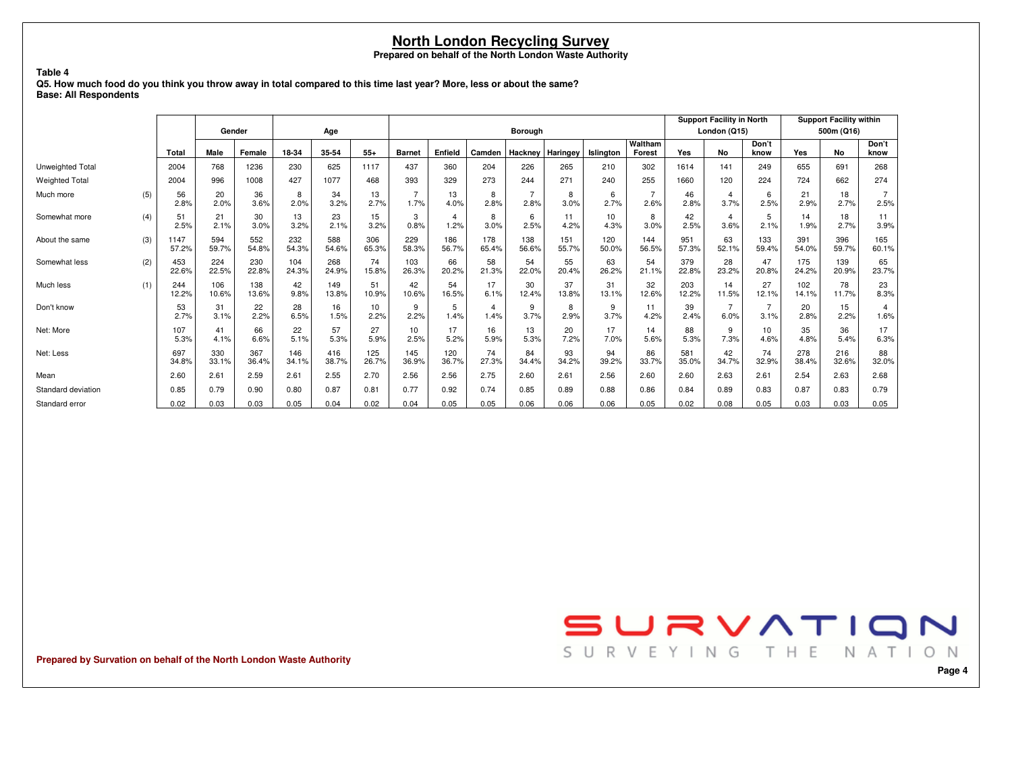**Q5. How much food do you think you throw away in total compared to this time last year? More, less or about the same?Base: All Respondents**

**Table 4**

|                         |     |               |              |              |              |              |              |               |              |              |                |              |                  |                   |              | <b>Support Facility in North</b> |                        |              | <b>Support Facility within</b> |               |
|-------------------------|-----|---------------|--------------|--------------|--------------|--------------|--------------|---------------|--------------|--------------|----------------|--------------|------------------|-------------------|--------------|----------------------------------|------------------------|--------------|--------------------------------|---------------|
|                         |     |               | Gender       |              |              | Age          |              |               |              |              | <b>Borough</b> |              |                  |                   |              | London (Q15)                     |                        |              | 500m (Q16)                     |               |
|                         |     | Total         | Male         | Female       | 18-34        | 35-54        | $55+$        | <b>Barnet</b> | Enfield      | Camden       | Hackney        | Haringey     | <b>Islinaton</b> | Waltham<br>Forest | Yes          | No                               | Don't<br>know          | Yes          | <b>No</b>                      | Don't<br>know |
| <b>Unweighted Total</b> |     | 2004          | 768          | 1236         | 230          | 625          | 1117         | 437           | 360          | 204          | 226            | 265          | 210              | 302               | 1614         | 141                              | 249                    | 655          | 691                            | 268           |
| <b>Weighted Total</b>   |     | 2004          | 996          | 1008         | 427          | 1077         | 468          | 393           | 329          | 273          | 244            | 271          | 240              | 255               | 1660         | 120                              | 224                    | 724          | 662                            | 274           |
| Much more               | (5) | 56<br>2.8%    | 20<br>2.0%   | 36<br>3.6%   | 8<br>2.0%    | 34<br>3.2%   | 13<br>2.7%   | 1.7%          | 13<br>4.0%   | 8<br>2.8%    | 2.8%           | 8<br>3.0%    | 6<br>2.7%        | 2.6%              | 46<br>2.8%   | $\overline{4}$<br>3.7%           | 6<br>2.5%              | 21<br>2.9%   | 18<br>2.7%                     | 2.5%          |
| Somewhat more           | (4) | 51<br>2.5%    | 21<br>2.1%   | 30<br>3.0%   | 13<br>3.2%   | 23<br>2.1%   | 15<br>3.2%   | 3<br>0.8%     | 4<br>1.2%    | 8<br>3.0%    | 6<br>2.5%      | 11<br>4.2%   | 10<br>4.3%       | 8<br>3.0%         | 42<br>2.5%   | $\overline{4}$<br>3.6%           | 5<br>2.1%              | 14<br>1.9%   | 18<br>2.7%                     | 11<br>3.9%    |
| About the same          | (3) | 1147<br>57.2% | 594<br>59.7% | 552<br>54.8% | 232<br>54.3% | 588<br>54.6% | 306<br>65.3% | 229<br>58.3%  | 186<br>56.7% | 178<br>65.4% | 138<br>56.6%   | 151<br>55.7% | 120<br>50.0%     | 144<br>56.5%      | 951<br>57.3% | 63<br>52.1%                      | 133<br>59.4%           | 391<br>54.0% | 396<br>59.7%                   | 165<br>60.1%  |
| Somewhat less           | (2) | 453<br>22.6%  | 224<br>22.5% | 230<br>22.8% | 104<br>24.3% | 268<br>24.9% | 74<br>15.8%  | 103<br>26.3%  | 66<br>20.2%  | 58<br>21.3%  | 54<br>22.0%    | 55<br>20.4%  | 63<br>26.2%      | 54<br>21.1%       | 379<br>22.8% | 28<br>23.2%                      | 47<br>20.8%            | 175<br>24.2% | 139<br>20.9%                   | 65<br>23.7%   |
| Much less               | (1) | 244<br>12.2%  | 106<br>10.6% | 138<br>13.6% | 42<br>9.8%   | 149<br>13.8% | 51<br>10.9%  | 42<br>10.6%   | 54<br>16.5%  | 17<br>6.1%   | 30<br>12.4%    | 37<br>13.8%  | 31<br>13.1%      | 32<br>12.6%       | 203<br>12.2% | 14<br>11.5%                      | 27<br>12.1%            | 102<br>14.1% | 78<br>11.7%                    | 23<br>8.3%    |
| Don't know              |     | 53<br>2.7%    | 31<br>3.1%   | 22<br>2.2%   | 28<br>6.5%   | 16<br>1.5%   | 10<br>2.2%   | 9<br>2.2%     | 5<br>1.4%    | 4<br>1.4%    | 9<br>3.7%      | 8<br>2.9%    | 9<br>3.7%        | 11<br>4.2%        | 39<br>2.4%   | $\overline{7}$<br>6.0%           | $\overline{7}$<br>3.1% | 20<br>2.8%   | 15<br>2.2%                     | 4<br>1.6%     |
| Net: More               |     | 107<br>5.3%   | 41<br>4.1%   | 66<br>6.6%   | 22<br>5.1%   | 57<br>5.3%   | 27<br>5.9%   | 10<br>2.5%    | 17<br>5.2%   | 16<br>5.9%   | 13<br>5.3%     | 20<br>7.2%   | 17<br>7.0%       | 14<br>5.6%        | 88<br>5.3%   | 9<br>7.3%                        | 10<br>4.6%             | 35<br>4.8%   | 36<br>5.4%                     | 17<br>6.3%    |
| Net: Less               |     | 697<br>34.8%  | 330<br>33.1% | 367<br>36.4% | 146<br>34.1% | 416<br>38.7% | 125<br>26.7% | 145<br>36.9%  | 120<br>36.7% | 74<br>27.3%  | 84<br>34.4%    | 93<br>34.2%  | 94<br>39.2%      | 86<br>33.7%       | 581<br>35.0% | 42<br>34.7%                      | 74<br>32.9%            | 278<br>38.4% | 216<br>32.6%                   | 88<br>32.0%   |
| Mean                    |     | 2.60          | 2.61         | 2.59         | 2.61         | 2.55         | 2.70         | 2.56          | 2.56         | 2.75         | 2.60           | 2.61         | 2.56             | 2.60              | 2.60         | 2.63                             | 2.61                   | 2.54         | 2.63                           | 2.68          |
| Standard deviation      |     | 0.85          | 0.79         | 0.90         | 0.80         | 0.87         | 0.81         | 0.77          | 0.92         | 0.74         | 0.85           | 0.89         | 0.88             | 0.86              | 0.84         | 0.89                             | 0.83                   | 0.87         | 0.83                           | 0.79          |
| Standard error          |     | 0.02          | 0.03         | 0.03         | 0.05         | 0.04         | 0.02         | 0.04          | 0.05         | 0.05         | 0.06           | 0.06         | 0.06             | 0.05              | 0.02         | 0.08                             | 0.05                   | 0.03         | 0.03                           | 0.05          |

**Prepared by Survation on behalf of the North London Waste Authority**

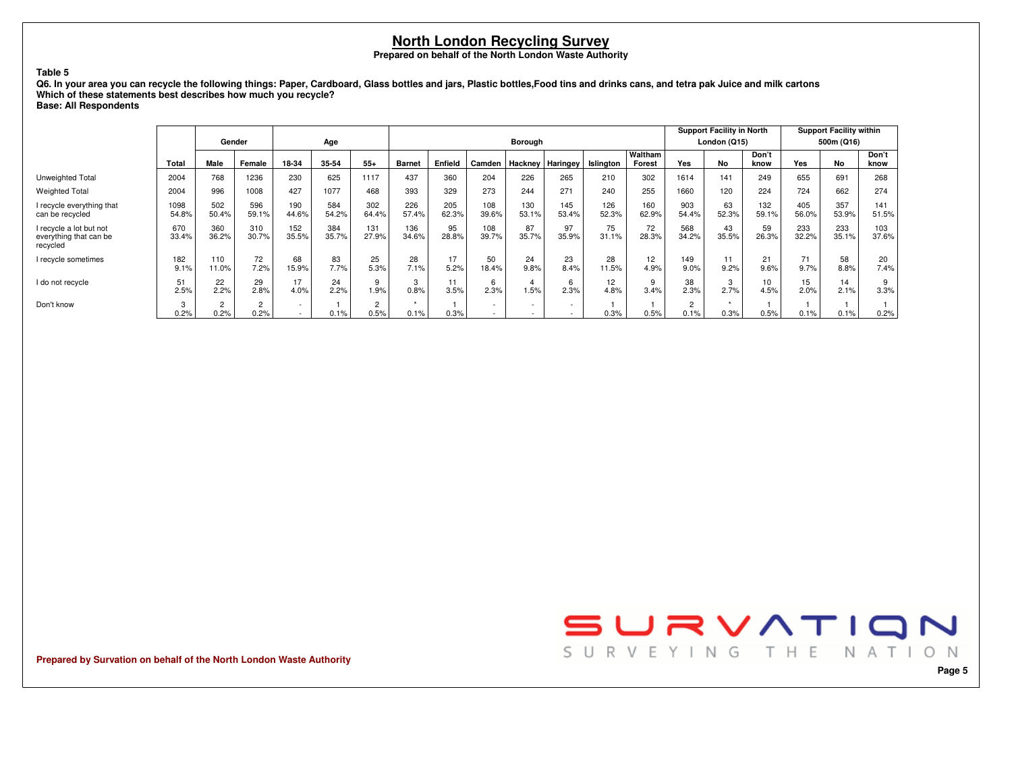### **Table 5**

Q6. In your area you can recycle the following things: Paper, Cardboard, Glass bottles and jars, Plastic bottles,Food tins and drinks cans, and tetra pak Juice and milk cartons **Which of these statements best describes how much you recycle?**

**Base: All Respondents**

|                                                               |               |                        | Gender                 |              | Age          |                        |               |              |                          | Borough                  |                          |              |                   |                        | <b>Support Facility in North</b><br>London (Q15) |               |              | <b>Support Facility within</b><br>500m (Q16) |               |
|---------------------------------------------------------------|---------------|------------------------|------------------------|--------------|--------------|------------------------|---------------|--------------|--------------------------|--------------------------|--------------------------|--------------|-------------------|------------------------|--------------------------------------------------|---------------|--------------|----------------------------------------------|---------------|
|                                                               | Total         | Male                   | Female                 | 18-34        | 35-54        | $55+$                  | <b>Barnet</b> | Enfield      | Camden                   | Hackney                  | <b>Haringey</b>          | Islington    | Waltham<br>Forest | Yes                    | No                                               | Don't<br>know | Yes          | No                                           | Don't<br>know |
| Unweighted Total                                              | 2004          | 768                    | 1236                   | 230          | 625          | 1117                   | 437           | 360          | 204                      | 226                      | 265                      | 210          | 302               | 1614                   | 141                                              | 249           | 655          | 691                                          | 268           |
| <b>Weighted Total</b>                                         | 2004          | 996                    | 1008                   | 427          | 1077         | 468                    | 393           | 329          | 273                      | 244                      | 271                      | 240          | 255               | 1660                   | 120                                              | 224           | 724          | 662                                          | 274           |
| I recycle everything that<br>can be recycled                  | 1098<br>54.8% | 502<br>50.4%           | 596<br>59.1%           | 190<br>44.6% | 584<br>54.2% | 302<br>64.4%           | 226<br>57.4%  | 205<br>62.3% | 108<br>39.6%             | 130<br>53.1%             | 145<br>53.4%             | 126<br>52.3% | 160<br>62.9%      | 903<br>54.4%           | 63<br>52.3%                                      | 132<br>59.1%  | 405<br>56.0% | 357<br>53.9%                                 | 141<br>51.5%  |
| I recycle a lot but not<br>everything that can be<br>recycled | 670<br>33.4%  | 360<br>36.2%           | 310<br>30.7%           | 152<br>35.5% | 384<br>35.7% | 131<br>27.9%           | 136<br>34.6%  | 95<br>28.8%  | 108<br>39.7%             | 87<br>35.7%              | 97<br>35.9%              | 75<br>31.1%  | 72<br>28.3%       | 568<br>34.2%           | 43<br>35.5%                                      | 59<br>26.3%   | 233<br>32.2% | 233<br>35.1%                                 | 103<br>37.6%  |
| recycle sometimes                                             | 182<br>9.1%   | 110<br>11.0%           | 72<br>7.2%             | 68<br>15.9%  | 83<br>7.7%   | 25<br>5.3%             | 28<br>7.1%    | 17<br>5.2%   | 50<br>18.4%              | 24<br>9.8%               | 23<br>8.4%               | 28<br>11.5%  | 12<br>4.9%        | 149<br>9.0%            | 11<br>9.2%                                       | 21<br>9.6%    | 9.7%         | 58<br>8.8%                                   | 20<br>7.4%    |
| I do not recycle                                              | 2.5%          | 22<br>2.2%             | 29<br>2.8%             | 17<br>4.0%   | 24<br>2.2%   | 9<br>1.9%              | 3<br>0.8%     | 11<br>3.5%   | 6<br>2.3%                | 1.5%                     | 6<br>2.3%                | 12<br>4.8%   | 3.4%              | 38<br>2.3%             | 3<br>2.7%                                        | 10<br>4.5%    | 15<br>2.0%   | 14<br>2.1%                                   | 3.3%          |
| Don't know                                                    | 3<br>0.2%     | $\overline{2}$<br>0.2% | $\overline{2}$<br>0.2% | $\sim$       | 0.1%         | $\overline{2}$<br>0.5% | 0.1%          | 0.3%         | $\overline{\phantom{a}}$ | $\overline{\phantom{a}}$ | $\overline{\phantom{a}}$ | 0.3%         | 0.5%              | $\overline{2}$<br>0.1% | ۰<br>0.3%                                        | 0.5%          | 0.1%         | 0.1%                                         | 0.2%          |



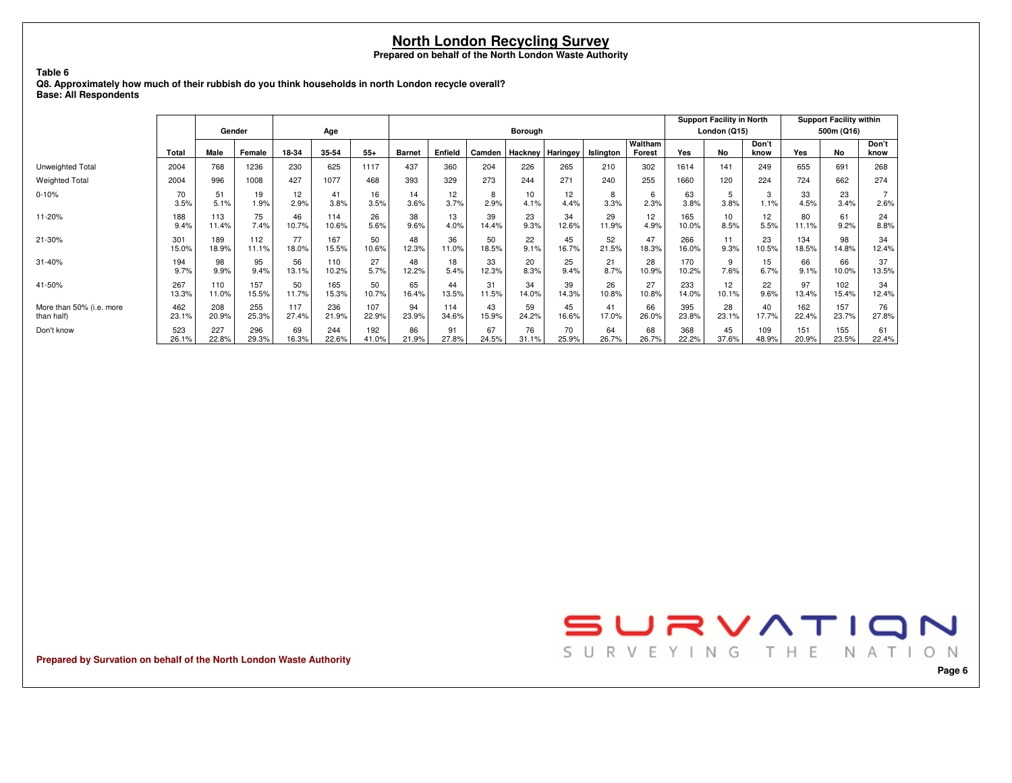#### **Table 6**

 **Q8. Approximately how much of their rubbish do you think households in north London recycle overall?Base: All Respondents**

|                          |            |            |            |            |            |            |               |            |           |            |            |           |                   |            | <b>Support Facility in North</b> |               |            | <b>Support Facility within</b> |               |
|--------------------------|------------|------------|------------|------------|------------|------------|---------------|------------|-----------|------------|------------|-----------|-------------------|------------|----------------------------------|---------------|------------|--------------------------------|---------------|
|                          |            | Gender     |            |            | Age        |            |               |            |           | Borough    |            |           |                   |            | London (Q15)                     |               |            | 500m (Q16)                     |               |
|                          | Total      | Male       | Female     | 18-34      | 35-54      | $55+$      | <b>Barnet</b> | Enfield    | Camden    | Hackney    | Haringey   | Islington | Waltham<br>Forest | Yes        | No                               | Don't<br>know | Yes        | <b>No</b>                      | Don't<br>know |
| Unweighted Total         | 2004       | 768        | 1236       | 230        | 625        | 1117       | 437           | 360        | 204       | 226        | 265        | 210       | 302               | 1614       | 141                              | 249           | 655        | 691                            | 268           |
| <b>Weighted Total</b>    | 2004       | 996        | 1008       | 427        | 1077       | 468        | 393           | 329        | 273       | 244        | 271        | 240       | 255               | 1660       | 120                              | 224           | 724        | 662                            | 274           |
| $0 - 10%$                | 70<br>3.5% | 51<br>5.1% | 19<br>1.9% | 12<br>2.9% | 41<br>3.8% | 16<br>3.5% | 14<br>3.6%    | 12<br>3.7% | 8<br>2.9% | 10<br>4.1% | 12<br>4.4% | 8<br>3.3% | 6<br>2.3%         | 63<br>3.8% | 5<br>3.8%                        | 3<br>1.1%     | 33<br>4.5% | 23<br>3.4%                     | 2.6%          |
| 11-20%                   | 188        | 113        | 75         | 46         | 114        | 26         | 38            | 13         | 39        | 23         | 34         | 29        | 12                | 165        | 10                               | 12            | 80         | 61                             | 24            |
|                          | 9.4%       | 11.4%      | 7.4%       | 10.7%      | 10.6%      | 5.6%       | 9.6%          | 4.0%       | 14.4%     | 9.3%       | 12.6%      | 11.9%     | 4.9%              | 10.0%      | 8.5%                             | 5.5%          | 11.1%      | 9.2%                           | 8.8%          |
| 21-30%                   | 301        | 189        | 112        | 77         | 167        | 50         | 48            | 36         | 50        | 22         | 45         | 52        | 47                | 266        | 11                               | 23            | 134        | 98                             | 34            |
|                          | 15.0%      | 18.9%      | 11.1%      | 18.0%      | 15.5%      | 10.6%      | 12.3%         | 11.0%      | 18.5%     | 9.1%       | 16.7%      | 21.5%     | 18.3%             | 16.0%      | 9.3%                             | 10.5%         | 18.5%      | 14.8%                          | 12.4%         |
| 31-40%                   | 194        | 98         | 95         | 56         | 110        | 27         | 48            | 18         | 33        | 20         | 25         | 21        | 28                | 170        | 9                                | 15            | 66         | 66                             | 37            |
|                          | 9.7%       | 9.9%       | 9.4%       | 13.1%      | 10.2%      | 5.7%       | 12.2%         | 5.4%       | 12.3%     | 8.3%       | 9.4%       | 8.7%      | 10.9%             | 10.2%      | 7.6%                             | 6.7%          | 9.1%       | 10.0%                          | 13.5%         |
| 41-50%                   | 267        | 110        | 157        | 50         | 165        | 50         | 65            | 44         | 31        | 34         | 39         | 26        | 27                | 233        | 12                               | 22            | 97         | 102                            | 34            |
|                          | 13.3%      | 11.0%      | 15.5%      | 11.7%      | 15.3%      | 10.7%      | 16.4%         | 13.5%      | 11.5%     | 14.0%      | 14.3%      | 10.8%     | 10.8%             | 14.0%      | 10.1%                            | 9.6%          | 13.4%      | 15.4%                          | 12.4%         |
| More than 50% (i.e. more | 462        | 208        | 255        | 117        | 236        | 107        | 94            | 114        | 43        | 59         | 45         | 41        | 66                | 395        | 28                               | 40            | 162        | 157                            | 76            |
| than half)               | 23.1%      | 20.9%      | 25.3%      | 27.4%      | 21.9%      | 22.9%      | 23.9%         | 34.6%      | 15.9%     | 24.2%      | 16.6%      | 17.0%     | 26.0%             | 23.8%      | 23.1%                            | 17.7%         | 22.4%      | 23.7%                          | 27.8%         |
| Don't know               | 523        | 227        | 296        | 69         | 244        | 192        | 86            | 91         | 67        | 76         | 70         | 64        | 68                | 368        | 45                               | 109           | 151        | 155                            | 61            |
|                          | 26.1%      | 22.8%      | 29.3%      | 16.3%      | 22.6%      | 41.0%      | 21.9%         | 27.8%      | 24.5%     | 31.1%      | 25.9%      | 26.7%     | 26.7%             | 22.2%      | 37.6%                            | 48.9%         | 20.9%      | 23.5%                          | 22.4%         |

**Prepared by Survation on behalf of the North London Waste Authority**

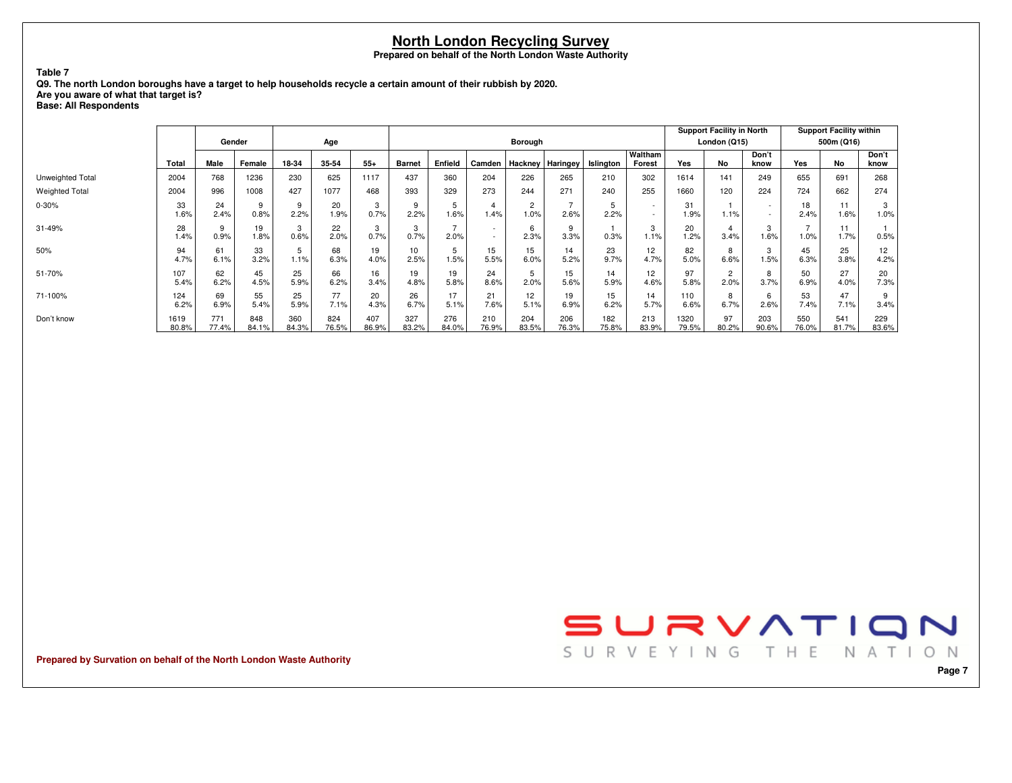**Table 7**

 **Q9. The north London boroughs have a target to help households recycle a certain amount of their rubbish by 2020.Are you aware of what that target is?**

**Base: All Respondents**

|                       |               |              |              |              |              |              |               |                     |                                    |                        |              |              |                                    |               | <b>Support Facility in North</b> |                                    |              | <b>Support Facility within</b> |               |
|-----------------------|---------------|--------------|--------------|--------------|--------------|--------------|---------------|---------------------|------------------------------------|------------------------|--------------|--------------|------------------------------------|---------------|----------------------------------|------------------------------------|--------------|--------------------------------|---------------|
|                       |               |              | Gender       |              | Age          |              |               |                     |                                    | Borough                |              |              |                                    |               | London (Q15)                     |                                    |              | 500m (Q16)                     |               |
|                       | Total         | Male         | Female       | 18-34        | 35-54        | $55+$        | <b>Barnet</b> | Enfield             | Camden                             | Hackney                | Haringey     | Islington    | Waltham<br>Forest                  | Yes           | No                               | Don't<br>know                      | Yes          | No                             | Don't<br>know |
| Unweighted Total      | 2004          | 768          | 1236         | 230          | 625          | 1117         | 437           | 360                 | 204                                | 226                    | 265          | 210          | 302                                | 1614          | 141                              | 249                                | 655          | 691                            | 268           |
| <b>Weighted Total</b> | 2004          | 996          | 1008         | 427          | 1077         | 468          | 393           | 329                 | 273                                | 244                    | 271          | 240          | 255                                | 1660          | 120                              | 224                                | 724          | 662                            | 274           |
| $0 - 30%$             | 33<br>1.6%    | 24<br>2.4%   | 0.8%         | 9<br>2.2%    | 20<br>1.9%   | 3<br>0.7%    | 9<br>2.2%     | $\mathbf b$<br>1.6% | 1.4%                               | $\overline{2}$<br>1.0% | 2.6%         | 5<br>2.2%    | $\sim$<br>$\overline{\phantom{a}}$ | 31<br>1.9%    | 1.1%                             | $\overline{\phantom{a}}$<br>$\sim$ | 18<br>2.4%   | 11<br>1.6%                     | 3<br>1.0%     |
| 31-49%                | 28<br>1.4%    | 9<br>0.9%    | 19<br>1.8%   | 3<br>0.6%    | 22<br>2.0%   | 3<br>0.7%    | 3<br>0.7%     | 2.0%                | $\sim$<br>$\overline{\phantom{a}}$ | 6<br>2.3%              | 9<br>3.3%    | 0.3%         | 3<br>1.1%                          | 20<br>1.2%    | 4<br>3.4%                        | 3<br>1.6%                          | 1.0%         | 11<br>1.7%                     | 0.5%          |
| 50%                   | 94<br>4.7%    | 61<br>6.1%   | 33<br>3.2%   | 5<br>1.1%    | 68<br>6.3%   | 19<br>4.0%   | 10<br>2.5%    | 5<br>1.5%           | 15<br>5.5%                         | 15<br>6.0%             | 14<br>5.2%   | 23<br>9.7%   | 12<br>4.7%                         | 82<br>5.0%    | 8<br>6.6%                        | 3<br>1.5%                          | 45<br>6.3%   | 25<br>3.8%                     | 12<br>4.2%    |
| 51-70%                | 107<br>5.4%   | 62<br>6.2%   | 45<br>4.5%   | 25<br>5.9%   | 66<br>6.2%   | 16<br>3.4%   | 19<br>4.8%    | 19<br>5.8%          | 24<br>8.6%                         | 5<br>2.0%              | 15<br>5.6%   | 14<br>5.9%   | 12<br>4.6%                         | 97<br>5.8%    | $\overline{2}$<br>2.0%           | 8<br>3.7%                          | 50<br>6.9%   | 27<br>4.0%                     | 20<br>7.3%    |
| 71-100%               | 124<br>6.2%   | 69<br>6.9%   | 55<br>5.4%   | 25<br>5.9%   | 77<br>7.1%   | 20<br>4.3%   | 26<br>6.7%    | 17<br>5.1%          | 21<br>7.6%                         | 12<br>5.1%             | 19<br>6.9%   | 15<br>6.2%   | 14<br>5.7%                         | 110<br>6.6%   | 8<br>6.7%                        | 6<br>2.6%                          | 53<br>7.4%   | 47<br>7.1%                     | 9<br>3.4%     |
| Don't know            | 1619<br>80.8% | 771<br>77.4% | 848<br>84.1% | 360<br>84.3% | 824<br>76.5% | 407<br>86.9% | 327<br>83.2%  | 276<br>84.0%        | 210<br>76.9%                       | 204<br>83.5%           | 206<br>76.3% | 182<br>75.8% | 213<br>83.9%                       | 1320<br>79.5% | 97<br>80.2%                      | 203<br>90.6%                       | 550<br>76.0% | 541<br>81.7%                   | 229<br>83.6%  |